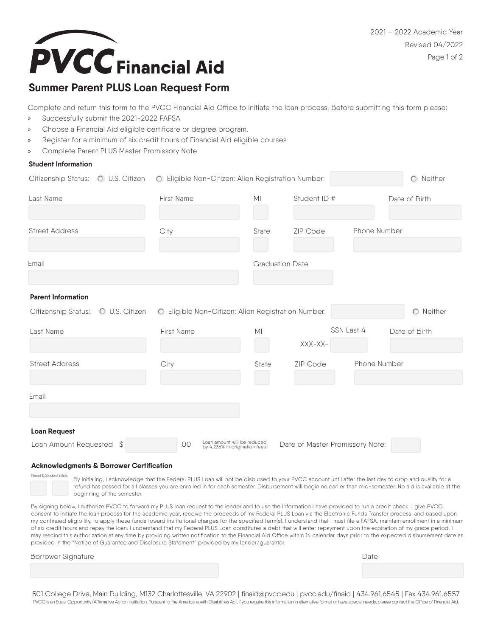2021 – 2022 Academic Year Revised 04/2022 Page 1 of 2



## **Summer Parent PLUS Loan Request Form**

Complete and return this form to the PVCC Financial Aid Office to initiate the loan process. Before submitting this form please:

- Successfully submit the 2021-2022 FAFSA
- » Choose a Financial Aid eligible certificate or degree program.
- » Register for a minimum of six credit hours of Financial Aid eligible courses
- » Complete Parent PLUS Master Promissory Note

### **Student Information**

| Citizenship Status: O U.S. Citizen |                | O Eligible Non-Citizen: Alien Registration Number:                   |                        |                                 |              | $O$ Neither   |
|------------------------------------|----------------|----------------------------------------------------------------------|------------------------|---------------------------------|--------------|---------------|
| Last Name                          |                | First Name                                                           | M <sub>l</sub>         | Student ID #                    |              | Date of Birth |
| <b>Street Address</b>              |                | City                                                                 | State                  | <b>ZIP Code</b>                 | Phone Number |               |
| Email                              |                |                                                                      | <b>Graduation Date</b> |                                 |              |               |
| <b>Parent Information</b>          |                |                                                                      |                        |                                 |              |               |
| Citizenship Status:                | O U.S. Citizen | O Eligible Non-Citizen: Alien Registration Number:                   |                        |                                 |              | O Neither     |
| Last Name                          |                | First Name                                                           | M <sub>l</sub>         | SSN Last 4<br>XXX-XX-           |              | Date of Birth |
| <b>Street Address</b>              |                | City                                                                 | State                  | ZIP Code                        | Phone Number |               |
| Email                              |                |                                                                      |                        |                                 |              |               |
| <b>Loan Request</b>                |                |                                                                      |                        |                                 |              |               |
| Loan Amount Requested              | \$             | Loan amount will be reduced<br>.00<br>by 4.236% in origination fees. |                        | Date of Master Promissory Note: |              |               |

#### **Acknowledgments & Borrower Certification**

By initialing, I acknowledge that the Federal PLUS Loan will not be disbursed to your PVCC account until after the last day to drop and qualify for a refund has passed for all classes you are enrolled in for each semester. Disbursement will begin no earlier than mid-semester. No aid is available at the beginning of the semester.

By signing below, I authorize PVCC to forward my PLUS loan request to the lender and to use the information I have provided to run a credit check. I give PVCC consent to initiate the loan process for the academic year, receive the proceeds of my Federal PLUS Loan via the Electronic Funds Transfer process, and based upon my continued eligibility, to apply these funds toward institutional charges for the specified term(s). I understand that I must file a FAFSA, maintain enrollment in a minimum of six credit hours and repay the loan. I understand that my Federal PLUS Loan constitutes a debt that will enter repayment upon the expiration of my grace period. I may rescind this authorization at any time by providing written notification to the Financial Aid Office within 14 calendar days prior to the expected disbursement date as provided in the "Notice of Guarantee and Disclosure Statement" provided by my lender/guarantor.

#### Borrower Signature Date

Parent & Student Initials

501 College Drive, Main Building, M132 Charlottesville, VA 22902 | finaid@pvcc.edu | pvcc.edu/finaid | 434.961.6545 | Fax 434.961.6557 PVCC is an Equal Opportunity/Affirmative Action institution. Pursuant to the Americans with Disabilities Act, if you require this information in alternative format or have special needs, please contact the Office of Financ